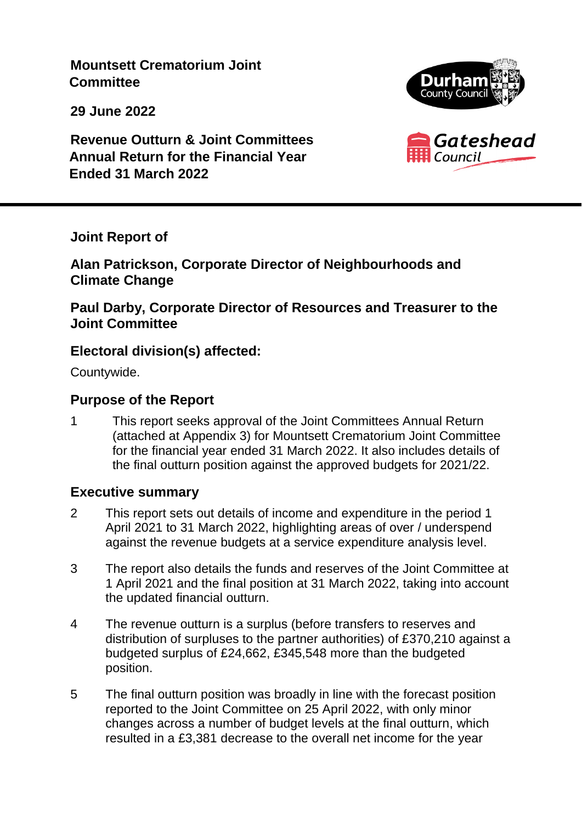**Mountsett Crematorium Joint Committee**

**29 June 2022**





**Revenue Outturn & Joint Committees Annual Return for the Financial Year Ended 31 March 2022**

**Joint Report of**

**Alan Patrickson, Corporate Director of Neighbourhoods and Climate Change**

**Paul Darby, Corporate Director of Resources and Treasurer to the Joint Committee**

# **Electoral division(s) affected:**

Countywide.

# **Purpose of the Report**

1 This report seeks approval of the Joint Committees Annual Return (attached at Appendix 3) for Mountsett Crematorium Joint Committee for the financial year ended 31 March 2022. It also includes details of the final outturn position against the approved budgets for 2021/22.

# **Executive summary**

- 2 This report sets out details of income and expenditure in the period 1 April 2021 to 31 March 2022, highlighting areas of over / underspend against the revenue budgets at a service expenditure analysis level.
- 3 The report also details the funds and reserves of the Joint Committee at 1 April 2021 and the final position at 31 March 2022, taking into account the updated financial outturn.
- 4 The revenue outturn is a surplus (before transfers to reserves and distribution of surpluses to the partner authorities) of £370,210 against a budgeted surplus of £24,662, £345,548 more than the budgeted position.
- 5 The final outturn position was broadly in line with the forecast position reported to the Joint Committee on 25 April 2022, with only minor changes across a number of budget levels at the final outturn, which resulted in a £3,381 decrease to the overall net income for the year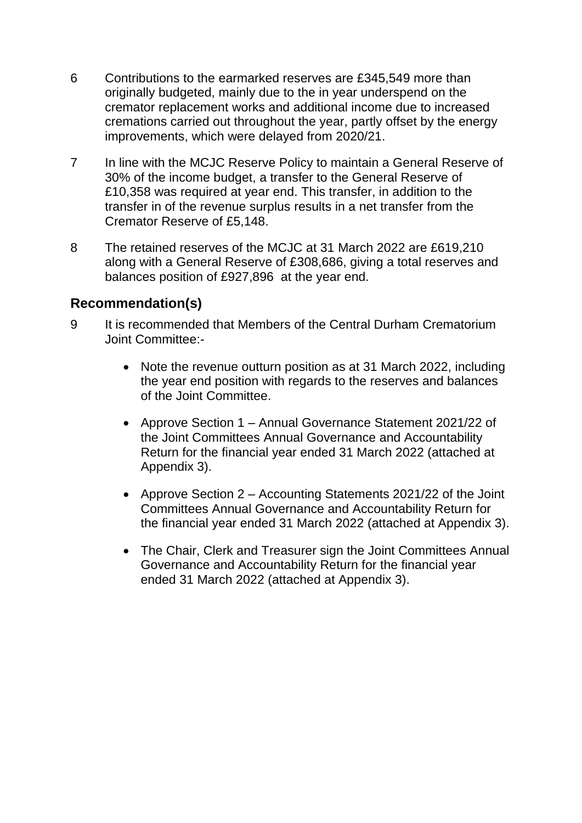- 6 Contributions to the earmarked reserves are £345,549 more than originally budgeted, mainly due to the in year underspend on the cremator replacement works and additional income due to increased cremations carried out throughout the year, partly offset by the energy improvements, which were delayed from 2020/21.
- 7 In line with the MCJC Reserve Policy to maintain a General Reserve of 30% of the income budget, a transfer to the General Reserve of £10,358 was required at year end. This transfer, in addition to the transfer in of the revenue surplus results in a net transfer from the Cremator Reserve of £5,148.
- 8 The retained reserves of the MCJC at 31 March 2022 are £619,210 along with a General Reserve of £308,686, giving a total reserves and balances position of £927,896 at the year end.

## **Recommendation(s)**

- 9 It is recommended that Members of the Central Durham Crematorium Joint Committee:-
	- Note the revenue outturn position as at 31 March 2022, including the year end position with regards to the reserves and balances of the Joint Committee.
	- Approve Section 1 Annual Governance Statement 2021/22 of the Joint Committees Annual Governance and Accountability Return for the financial year ended 31 March 2022 (attached at Appendix 3).
	- Approve Section 2 Accounting Statements 2021/22 of the Joint Committees Annual Governance and Accountability Return for the financial year ended 31 March 2022 (attached at Appendix 3).
	- The Chair, Clerk and Treasurer sign the Joint Committees Annual Governance and Accountability Return for the financial year ended 31 March 2022 (attached at Appendix 3).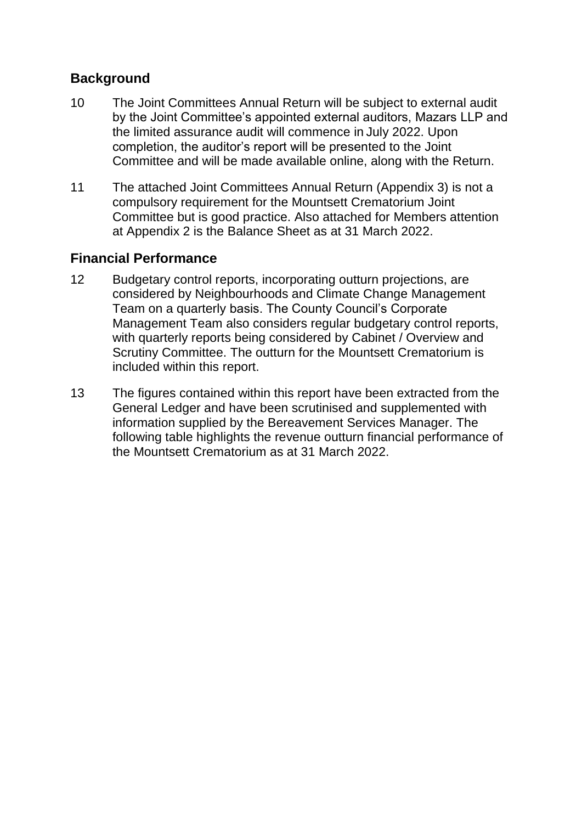### **Background**

- 10 The Joint Committees Annual Return will be subject to external audit by the Joint Committee's appointed external auditors, Mazars LLP and the limited assurance audit will commence in July 2022. Upon completion, the auditor's report will be presented to the Joint Committee and will be made available online, along with the Return.
- 11 The attached Joint Committees Annual Return (Appendix 3) is not a compulsory requirement for the Mountsett Crematorium Joint Committee but is good practice. Also attached for Members attention at Appendix 2 is the Balance Sheet as at 31 March 2022.

#### **Financial Performance**

- 12 Budgetary control reports, incorporating outturn projections, are considered by Neighbourhoods and Climate Change Management Team on a quarterly basis. The County Council's Corporate Management Team also considers regular budgetary control reports, with quarterly reports being considered by Cabinet / Overview and Scrutiny Committee. The outturn for the Mountsett Crematorium is included within this report.
- 13 The figures contained within this report have been extracted from the General Ledger and have been scrutinised and supplemented with information supplied by the Bereavement Services Manager. The following table highlights the revenue outturn financial performance of the Mountsett Crematorium as at 31 March 2022.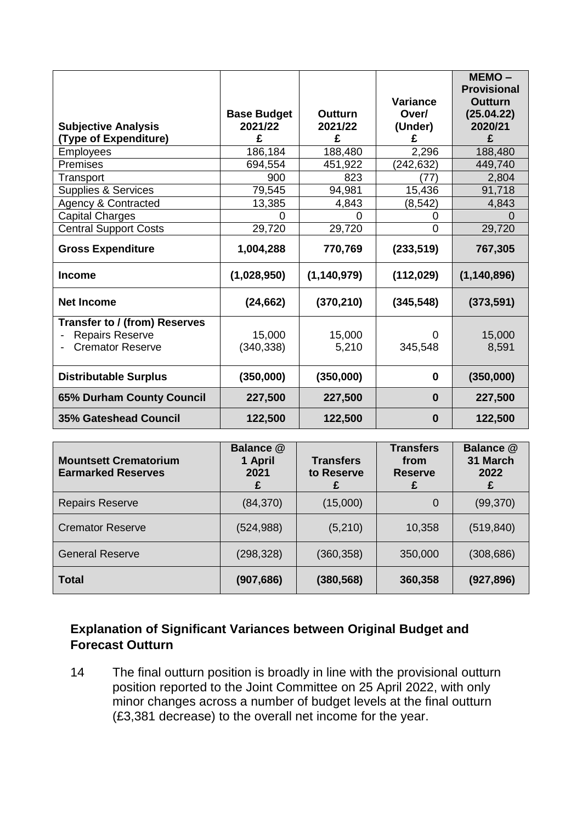|                                |                    |                |                 | $MEMO -$                     |
|--------------------------------|--------------------|----------------|-----------------|------------------------------|
|                                |                    |                | <b>Variance</b> | <b>Provisional</b>           |
|                                | <b>Base Budget</b> | <b>Outturn</b> | Over/           | <b>Outturn</b><br>(25.04.22) |
| <b>Subjective Analysis</b>     | 2021/22            | 2021/22        | (Under)         | 2020/21                      |
| (Type of Expenditure)          | £                  | £              | £               | £                            |
| <b>Employees</b>               | 186,184            | 188,480        | 2,296           | 188,480                      |
| Premises                       | 694,554            | 451,922        | (242, 632)      | 449,740                      |
| Transport                      | 900                | 823            | '77             | 2,804                        |
| <b>Supplies &amp; Services</b> | 79,545             | 94,981         | 15,436          | 91,718                       |
| <b>Agency &amp; Contracted</b> | 13,385             | 4,843          | (8, 542)        | 4,843                        |
| <b>Capital Charges</b>         | 0                  | ი              | 0               | O                            |
| <b>Central Support Costs</b>   | 29,720             | 29,720         | 0               | 29,720                       |
| <b>Gross Expenditure</b>       | 1,004,288          | 770,769        | (233, 519)      | 767,305                      |
| <b>Income</b>                  | (1,028,950)        | (1, 140, 979)  | (112, 029)      | (1, 140, 896)                |
| <b>Net Income</b>              | (24, 662)          | (370, 210)     | (345, 548)      | (373, 591)                   |
| Transfer to / (from) Reserves  |                    |                |                 |                              |
| <b>Repairs Reserve</b>         | 15,000             | 15,000         | O               | 15,000                       |
| <b>Cremator Reserve</b>        | (340, 338)         | 5,210          | 345,548         | 8,591                        |
| <b>Distributable Surplus</b>   | (350,000)          | (350,000)      | $\bf{0}$        | (350,000)                    |
| 65% Durham County Council      | 227,500            | 227,500        | $\bf{0}$        | 227,500                      |
| <b>35% Gateshead Council</b>   | 122,500            | 122,500        | $\bf{0}$        | 122,500                      |

| <b>Mountsett Crematorium</b><br><b>Earmarked Reserves</b> | Balance @<br>1 April<br>2021<br>£ | <b>Transfers</b><br>to Reserve | <b>Transfers</b><br>from<br><b>Reserve</b> | Balance @<br>31 March<br>2022<br>£ |
|-----------------------------------------------------------|-----------------------------------|--------------------------------|--------------------------------------------|------------------------------------|
| <b>Repairs Reserve</b>                                    | (84, 370)                         | (15,000)                       | 0                                          | (99, 370)                          |
| <b>Cremator Reserve</b>                                   | (524, 988)                        | (5,210)                        | 10,358                                     | (519, 840)                         |
| <b>General Reserve</b>                                    | (298, 328)                        | (360, 358)                     | 350,000                                    | (308, 686)                         |
| <b>Total</b>                                              | (907, 686)                        | (380, 568)                     | 360,358                                    | (927, 896)                         |

### **Explanation of Significant Variances between Original Budget and Forecast Outturn**

14 The final outturn position is broadly in line with the provisional outturn position reported to the Joint Committee on 25 April 2022, with only minor changes across a number of budget levels at the final outturn (£3,381 decrease) to the overall net income for the year.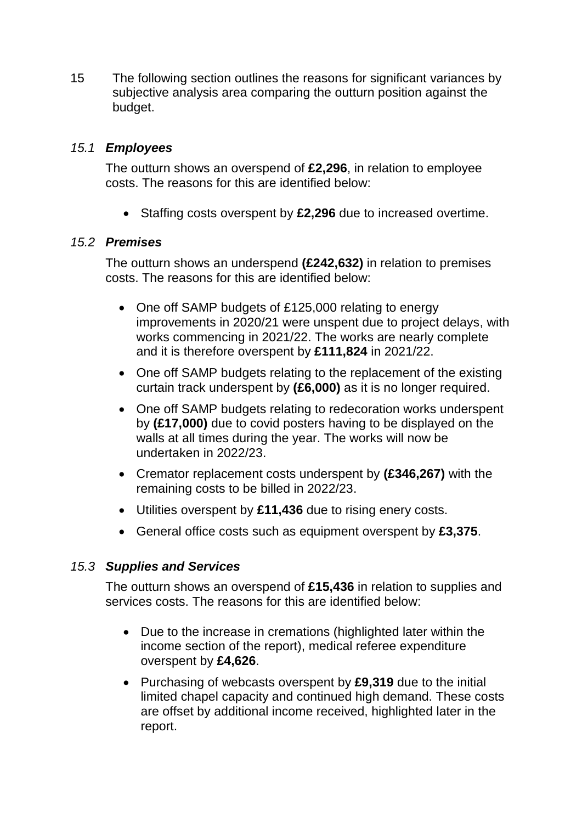15 The following section outlines the reasons for significant variances by subjective analysis area comparing the outturn position against the budget.

#### *15.1 Employees*

The outturn shows an overspend of **£2,296**, in relation to employee costs. The reasons for this are identified below:

• Staffing costs overspent by £2,296 due to increased overtime.

#### *15.2 Premises*

The outturn shows an underspend **(£242,632)** in relation to premises costs. The reasons for this are identified below:

- One off SAMP budgets of £125,000 relating to energy improvements in 2020/21 were unspent due to project delays, with works commencing in 2021/22. The works are nearly complete and it is therefore overspent by **£111,824** in 2021/22.
- One off SAMP budgets relating to the replacement of the existing curtain track underspent by **(£6,000)** as it is no longer required.
- One off SAMP budgets relating to redecoration works underspent by **(£17,000)** due to covid posters having to be displayed on the walls at all times during the year. The works will now be undertaken in 2022/23.
- Cremator replacement costs underspent by **(£346,267)** with the remaining costs to be billed in 2022/23.
- Utilities overspent by **£11,436** due to rising enery costs.
- General office costs such as equipment overspent by **£3,375**.

#### *15.3 Supplies and Services*

The outturn shows an overspend of **£15,436** in relation to supplies and services costs. The reasons for this are identified below:

- Due to the increase in cremations (highlighted later within the income section of the report), medical referee expenditure overspent by **£4,626**.
- Purchasing of webcasts overspent by **£9,319** due to the initial limited chapel capacity and continued high demand. These costs are offset by additional income received, highlighted later in the report.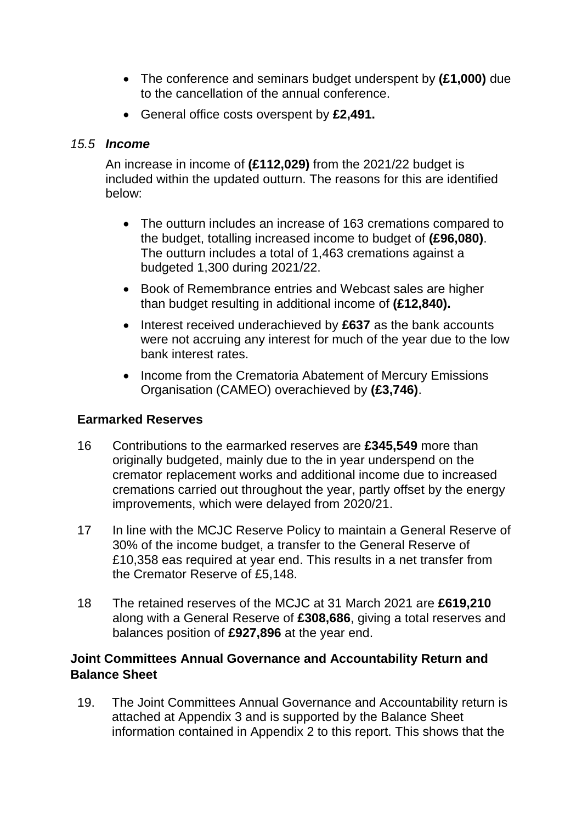- The conference and seminars budget underspent by **(£1,000)** due to the cancellation of the annual conference.
- General office costs overspent by **£2,491.**

#### *15.5 Income*

An increase in income of **(£112,029)** from the 2021/22 budget is included within the updated outturn. The reasons for this are identified below:

- The outturn includes an increase of 163 cremations compared to the budget, totalling increased income to budget of **(£96,080)**. The outturn includes a total of 1,463 cremations against a budgeted 1,300 during 2021/22.
- Book of Remembrance entries and Webcast sales are higher than budget resulting in additional income of **(£12,840).**
- Interest received underachieved by £637 as the bank accounts were not accruing any interest for much of the year due to the low bank interest rates.
- Income from the Crematoria Abatement of Mercury Emissions Organisation (CAMEO) overachieved by **(£3,746)**.

#### **Earmarked Reserves**

- 16 Contributions to the earmarked reserves are **£345,549** more than originally budgeted, mainly due to the in year underspend on the cremator replacement works and additional income due to increased cremations carried out throughout the year, partly offset by the energy improvements, which were delayed from 2020/21.
- 17 In line with the MCJC Reserve Policy to maintain a General Reserve of 30% of the income budget, a transfer to the General Reserve of £10,358 eas required at year end. This results in a net transfer from the Cremator Reserve of £5,148.
- 18 The retained reserves of the MCJC at 31 March 2021 are **£619,210** along with a General Reserve of **£308,686**, giving a total reserves and balances position of **£927,896** at the year end.

#### **Joint Committees Annual Governance and Accountability Return and Balance Sheet**

19. The Joint Committees Annual Governance and Accountability return is attached at Appendix 3 and is supported by the Balance Sheet information contained in Appendix 2 to this report. This shows that the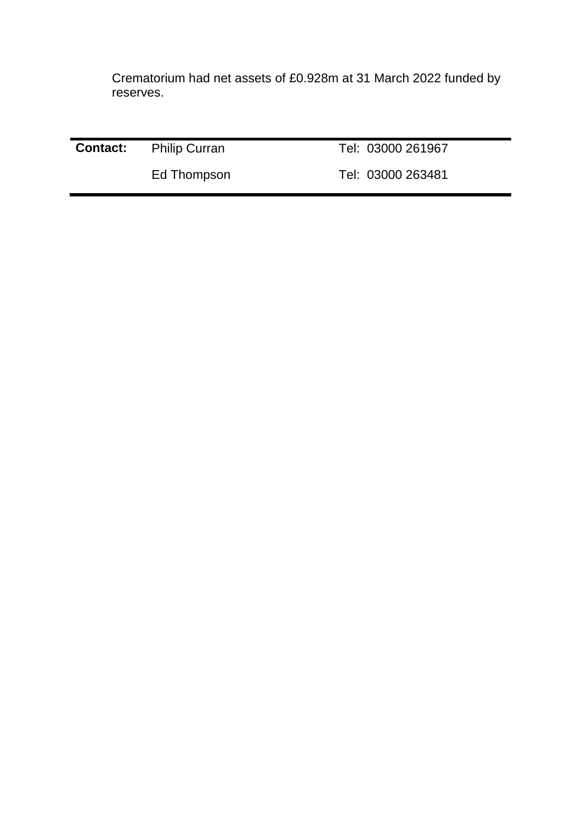Crematorium had net assets of £0.928m at 31 March 2022 funded by reserves.

| <b>Contact:</b> Philip Curran | Tel: 03000 261967 |
|-------------------------------|-------------------|
| Ed Thompson                   | Tel: 03000 263481 |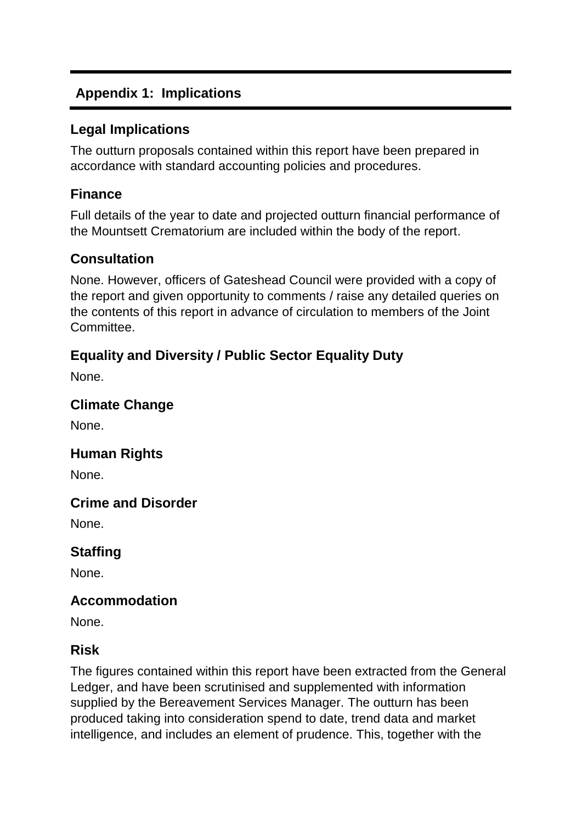# **Appendix 1: Implications**

### **Legal Implications**

The outturn proposals contained within this report have been prepared in accordance with standard accounting policies and procedures.

## **Finance**

Full details of the year to date and projected outturn financial performance of the Mountsett Crematorium are included within the body of the report.

## **Consultation**

None. However, officers of Gateshead Council were provided with a copy of the report and given opportunity to comments / raise any detailed queries on the contents of this report in advance of circulation to members of the Joint Committee.

# **Equality and Diversity / Public Sector Equality Duty**

None.

## **Climate Change**

None.

# **Human Rights**

None.

# **Crime and Disorder**

None.

# **Staffing**

None.

# **Accommodation**

None.

#### **Risk**

The figures contained within this report have been extracted from the General Ledger, and have been scrutinised and supplemented with information supplied by the Bereavement Services Manager. The outturn has been produced taking into consideration spend to date, trend data and market intelligence, and includes an element of prudence. This, together with the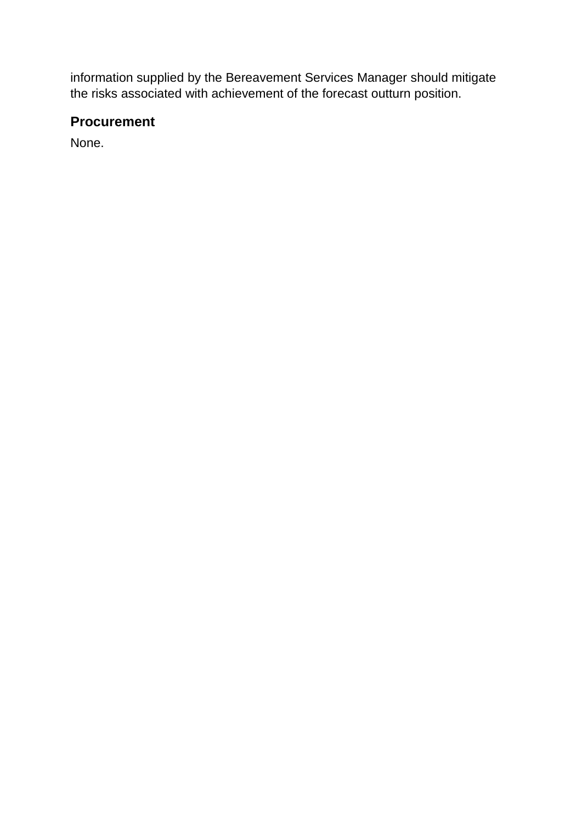information supplied by the Bereavement Services Manager should mitigate the risks associated with achievement of the forecast outturn position.

## **Procurement**

None.